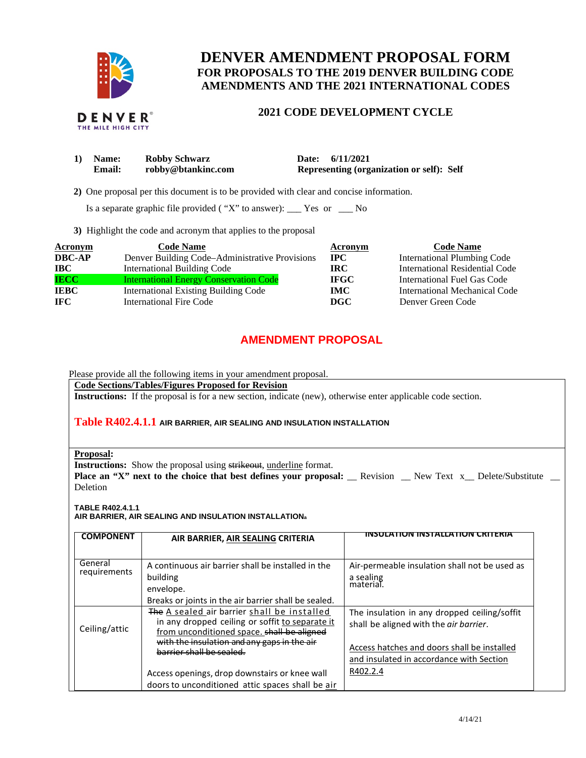

# **DENVER AMENDMENT PROPOSAL FORM FOR PROPOSALS TO THE 2019 DENVER BUILDING CODE AMENDMENTS AND THE 2021 INTERNATIONAL CODES**

## **2021 CODE DEVELOPMENT CYCLE**

| 1) Name:      | <b>Robby Schwarz</b> | Date: 6/11/2021                           |
|---------------|----------------------|-------------------------------------------|
| <b>Email:</b> | robby@btankinc.com   | Representing (organization or self): Self |

 **2)** One proposal per this document is to be provided with clear and concise information.

Is a separate graphic file provided ( "X" to answer): \_\_\_ Yes or \_\_\_ No

**3)** Highlight the code and acronym that applies to the proposal

| <b>Acronym</b> | <b>Code Name</b>                               | Acronym     | <b>Code Name</b>                   |
|----------------|------------------------------------------------|-------------|------------------------------------|
| <b>DBC-AP</b>  | Denver Building Code-Administrative Provisions | $\bf{IPC}$  | <b>International Plumbing Code</b> |
| <b>IBC</b>     | International Building Code                    | IRC.        | International Residential Code     |
| <b>IECC</b>    | <b>International Energy Conservation Code</b>  | <b>IFGC</b> | International Fuel Gas Code        |
| <b>IEBC</b>    | <b>International Existing Building Code</b>    | <b>IMC</b>  | International Mechanical Code      |
| IFC.           | <b>International Fire Code</b>                 | DGC         | Denver Green Code                  |

# **AMENDMENT PROPOSAL**

Please provide all the following items in your amendment proposal.

## **Code Sections/Tables/Figures Proposed for Revision**

**Instructions:** If the proposal is for a new section, indicate (new), otherwise enter applicable code section.

#### **Table R402.4.1.1 AIR BARRIER, AIR SEALING AND INSULATION INSTALLATION**

| <b>Proposal:</b> |
|------------------|
|                  |
|                  |

**Instructions:** Show the proposal using strikeout, underline format.

**Place an "X" next to the choice that best defines your proposal:** \_\_ Revision \_\_ New Text x\_\_ Delete/Substitute \_\_ Deletion

**TABLE R402.4.1.1** 

**AIR BARRIER, AIR SEALING AND INSULATION INSTALLATION<sup>a</sup>**

| <b>COMPONENT</b>        | AIR BARRIER, AIR SEALING CRITERIA                                                             |                                               |
|-------------------------|-----------------------------------------------------------------------------------------------|-----------------------------------------------|
|                         |                                                                                               |                                               |
| General<br>requirements | A continuous air barrier shall be installed in the                                            | Air-permeable insulation shall not be used as |
|                         | building                                                                                      | a sealing<br>material.                        |
|                         | envelope.                                                                                     |                                               |
|                         | Breaks or joints in the air barrier shall be sealed.                                          |                                               |
|                         | The A sealed air barrier shall be installed                                                   | The insulation in any dropped ceiling/soffit  |
| Ceiling/attic           | in any dropped ceiling or soffit to separate it<br>from unconditioned space. shall be aligned | shall be aligned with the air barrier.        |
|                         | with the insulation and any gaps in the air                                                   |                                               |
|                         | harrier shall be sealed.                                                                      | Access hatches and doors shall be installed   |
|                         |                                                                                               | and insulated in accordance with Section      |
|                         | Access openings, drop downstairs or knee wall                                                 | R402.2.4                                      |
|                         | doors to unconditioned attic spaces shall be air                                              |                                               |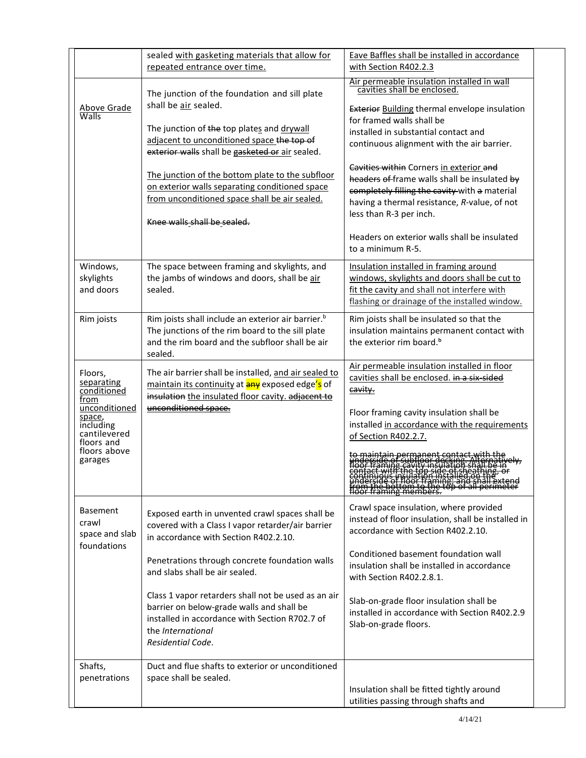|                                                                                                                                               | sealed with gasketing materials that allow for<br>repeated entrance over time.                                                                                                                                                                                                                                                                                                                             | Eave Baffles shall be installed in accordance<br>with Section R402.2.3                                                                                                                                                                                                                                                                                                                                                                                                                                                      |
|-----------------------------------------------------------------------------------------------------------------------------------------------|------------------------------------------------------------------------------------------------------------------------------------------------------------------------------------------------------------------------------------------------------------------------------------------------------------------------------------------------------------------------------------------------------------|-----------------------------------------------------------------------------------------------------------------------------------------------------------------------------------------------------------------------------------------------------------------------------------------------------------------------------------------------------------------------------------------------------------------------------------------------------------------------------------------------------------------------------|
| <b>Above Grade</b><br>Walls                                                                                                                   | The junction of the foundation and sill plate<br>shall be air sealed.<br>The junction of the top plates and drywall<br>adjacent to unconditioned space the top of<br>exterior walls shall be gasketed or air sealed.<br>The junction of the bottom plate to the subfloor<br>on exterior walls separating conditioned space<br>from unconditioned space shall be air sealed.<br>Knee walls shall be sealed. | Air permeable insulation installed in wall<br>cavities shall be enclosed.<br><b>Exterior Building thermal envelope insulation</b><br>for framed walls shall be<br>installed in substantial contact and<br>continuous alignment with the air barrier.<br>Cavities within Corners in exterior and<br>headers of frame walls shall be insulated by<br>completely filling the cavity with a material<br>having a thermal resistance, R-value, of not<br>less than R-3 per inch.<br>Headers on exterior walls shall be insulated |
| Windows,<br>skylights<br>and doors                                                                                                            | The space between framing and skylights, and<br>the jambs of windows and doors, shall be air<br>sealed.                                                                                                                                                                                                                                                                                                    | to a minimum R-5.<br>Insulation installed in framing around<br>windows, skylights and doors shall be cut to<br>fit the cavity and shall not interfere with<br>flashing or drainage of the installed window.                                                                                                                                                                                                                                                                                                                 |
| Rim joists                                                                                                                                    | Rim joists shall include an exterior air barrier. <sup>b</sup><br>The junctions of the rim board to the sill plate<br>and the rim board and the subfloor shall be air<br>sealed.                                                                                                                                                                                                                           | Rim joists shall be insulated so that the<br>insulation maintains permanent contact with<br>the exterior rim board. <sup>b</sup>                                                                                                                                                                                                                                                                                                                                                                                            |
| Floors,<br>separating<br>conditioned<br>from<br>unconditioned<br>space,<br>including<br>cantilevered<br>floors and<br>floors above<br>garages | The air barrier shall be installed, and air sealed to<br>maintain its continuity at any exposed edge's of<br>insulation the insulated floor cavity. adjacent to<br>unconditioned space.                                                                                                                                                                                                                    | Air permeable insulation installed in floor<br>cavities shall be enclosed. in a six-sided<br>cavity.<br>Floor framing cavity insulation shall be<br>installed in accordance with the requirements<br>of Section R402.2.7.                                                                                                                                                                                                                                                                                                   |
| <b>Basement</b><br>crawl<br>space and slab<br>foundations                                                                                     | Exposed earth in unvented crawl spaces shall be<br>covered with a Class I vapor retarder/air barrier<br>in accordance with Section R402.2.10.                                                                                                                                                                                                                                                              | Crawl space insulation, where provided<br>instead of floor insulation, shall be installed in<br>accordance with Section R402.2.10.                                                                                                                                                                                                                                                                                                                                                                                          |
|                                                                                                                                               | Penetrations through concrete foundation walls<br>and slabs shall be air sealed.                                                                                                                                                                                                                                                                                                                           | Conditioned basement foundation wall<br>insulation shall be installed in accordance<br>with Section R402.2.8.1.                                                                                                                                                                                                                                                                                                                                                                                                             |
|                                                                                                                                               | Class 1 vapor retarders shall not be used as an air<br>barrier on below-grade walls and shall be<br>installed in accordance with Section R702.7 of<br>the International<br>Residential Code.                                                                                                                                                                                                               | Slab-on-grade floor insulation shall be<br>installed in accordance with Section R402.2.9<br>Slab-on-grade floors.                                                                                                                                                                                                                                                                                                                                                                                                           |
| Shafts,<br>penetrations                                                                                                                       | Duct and flue shafts to exterior or unconditioned<br>space shall be sealed.                                                                                                                                                                                                                                                                                                                                | Insulation shall be fitted tightly around                                                                                                                                                                                                                                                                                                                                                                                                                                                                                   |
|                                                                                                                                               |                                                                                                                                                                                                                                                                                                                                                                                                            | utilities passing through shafts and                                                                                                                                                                                                                                                                                                                                                                                                                                                                                        |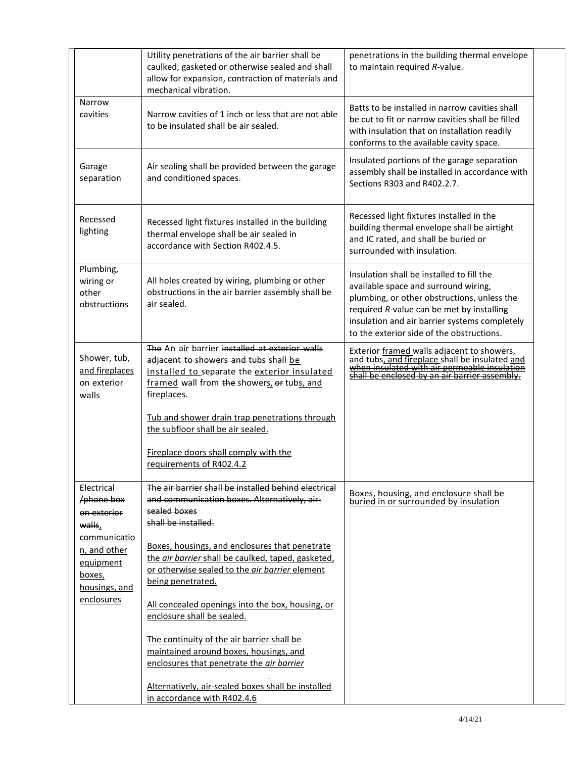|                                                                      | Utility penetrations of the air barrier shall be<br>caulked, gasketed or otherwise sealed and shall<br>allow for expansion, contraction of materials and<br>mechanical vibration.                    | penetrations in the building thermal envelope<br>to maintain required R-value.                                                                                                                                                                                              |
|----------------------------------------------------------------------|------------------------------------------------------------------------------------------------------------------------------------------------------------------------------------------------------|-----------------------------------------------------------------------------------------------------------------------------------------------------------------------------------------------------------------------------------------------------------------------------|
| Narrow<br>cavities                                                   | Narrow cavities of 1 inch or less that are not able<br>to be insulated shall be air sealed.                                                                                                          | Batts to be installed in narrow cavities shall<br>be cut to fit or narrow cavities shall be filled<br>with insulation that on installation readily<br>conforms to the available cavity space.                                                                               |
| Garage<br>separation                                                 | Air sealing shall be provided between the garage<br>and conditioned spaces.                                                                                                                          | Insulated portions of the garage separation<br>assembly shall be installed in accordance with<br>Sections R303 and R402.2.7.                                                                                                                                                |
| Recessed<br>lighting                                                 | Recessed light fixtures installed in the building<br>thermal envelope shall be air sealed in<br>accordance with Section R402.4.5.                                                                    | Recessed light fixtures installed in the<br>building thermal envelope shall be airtight<br>and IC rated, and shall be buried or<br>surrounded with insulation.                                                                                                              |
| Plumbing,<br>wiring or<br>other<br>obstructions                      | All holes created by wiring, plumbing or other<br>obstructions in the air barrier assembly shall be<br>air sealed.                                                                                   | Insulation shall be installed to fill the<br>available space and surround wiring,<br>plumbing, or other obstructions, unless the<br>required R-value can be met by installing<br>insulation and air barrier systems completely<br>to the exterior side of the obstructions. |
| Shower, tub,<br>and fireplaces<br>on exterior<br>walls               | The An air barrier installed at exterior walls<br>adjacent to showers and tubs shall be<br>installed to separate the exterior insulated<br>framed wall from the showers, or tubs, and<br>fireplaces. | Exterior framed walls adjacent to showers,<br>and-tubs, and fireplace shall be insulated and<br>when insulated with air permeable insulation<br>shall be enclosed by an air barrier assembly.                                                                               |
|                                                                      | Tub and shower drain trap penetrations through<br>the subfloor shall be air sealed.<br>Fireplace doors shall comply with the                                                                         |                                                                                                                                                                                                                                                                             |
|                                                                      | requirements of R402.4.2                                                                                                                                                                             |                                                                                                                                                                                                                                                                             |
| Electrical<br>hene box<br>on exterior<br>walls,                      | The air barrier shall be installed behind electrical<br>and communication boxes. Alternatively, air-<br>sealed boxes<br>shall be installed.                                                          | Boxes, housing, and enclosure shall be<br>buried in or surrounded by insulation                                                                                                                                                                                             |
| communicatio<br>n, and other<br>equipment<br>boxes,<br>housings, and | Boxes, housings, and enclosures that penetrate<br>the air barrier shall be caulked, taped, gasketed,<br>or otherwise sealed to the air barrier element<br>being penetrated.                          |                                                                                                                                                                                                                                                                             |
| enclosures                                                           | All concealed openings into the box, housing, or<br>enclosure shall be sealed.                                                                                                                       |                                                                                                                                                                                                                                                                             |
|                                                                      | The continuity of the air barrier shall be<br>maintained around boxes, housings, and<br>enclosures that penetrate the air barrier                                                                    |                                                                                                                                                                                                                                                                             |
|                                                                      | Alternatively, air-sealed boxes shall be installed<br>in accordance with R402.4.6                                                                                                                    |                                                                                                                                                                                                                                                                             |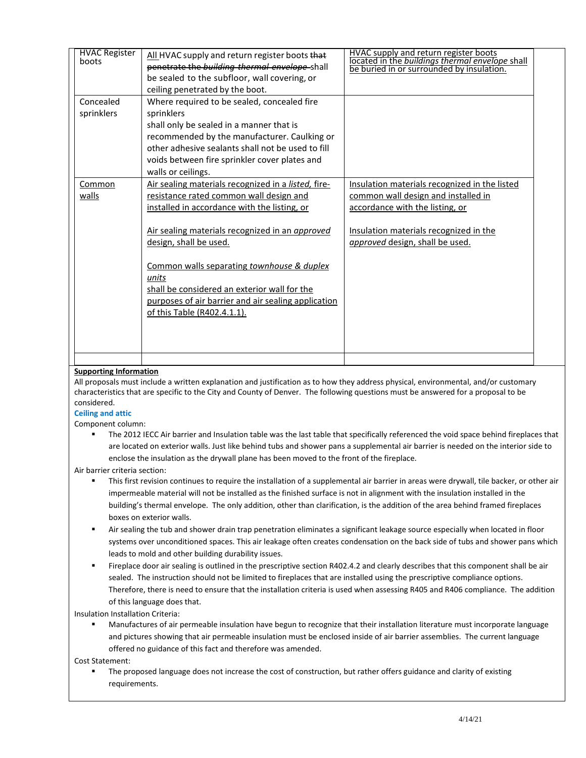| <b>HVAC Register</b><br>boots | All HVAC supply and return register boots that<br>penetrate the building thermal envelope shall<br>be sealed to the subfloor, wall covering, or<br>ceiling penetrated by the boot. | <b>HVAC supply and return register boots</b><br>located in the <i>buildings thermal envelope shall</i><br>be buried in or surrounded by insulation. |
|-------------------------------|------------------------------------------------------------------------------------------------------------------------------------------------------------------------------------|-----------------------------------------------------------------------------------------------------------------------------------------------------|
| Concealed                     |                                                                                                                                                                                    |                                                                                                                                                     |
|                               | Where required to be sealed, concealed fire<br>sprinklers                                                                                                                          |                                                                                                                                                     |
| sprinklers                    |                                                                                                                                                                                    |                                                                                                                                                     |
|                               | shall only be sealed in a manner that is                                                                                                                                           |                                                                                                                                                     |
|                               | recommended by the manufacturer. Caulking or<br>other adhesive sealants shall not be used to fill                                                                                  |                                                                                                                                                     |
|                               |                                                                                                                                                                                    |                                                                                                                                                     |
|                               | voids between fire sprinkler cover plates and<br>walls or ceilings.                                                                                                                |                                                                                                                                                     |
| Common                        | Air sealing materials recognized in a listed, fire-                                                                                                                                | Insulation materials recognized in the listed                                                                                                       |
| walls                         | resistance rated common wall design and                                                                                                                                            | common wall design and installed in                                                                                                                 |
|                               |                                                                                                                                                                                    |                                                                                                                                                     |
|                               | installed in accordance with the listing, or                                                                                                                                       | accordance with the listing, or                                                                                                                     |
|                               | Air sealing materials recognized in an approved                                                                                                                                    | Insulation materials recognized in the                                                                                                              |
|                               | design, shall be used.                                                                                                                                                             | approved design, shall be used.                                                                                                                     |
|                               |                                                                                                                                                                                    |                                                                                                                                                     |
|                               | Common walls separating townhouse & duplex                                                                                                                                         |                                                                                                                                                     |
|                               | units                                                                                                                                                                              |                                                                                                                                                     |
|                               | shall be considered an exterior wall for the                                                                                                                                       |                                                                                                                                                     |
|                               | purposes of air barrier and air sealing application                                                                                                                                |                                                                                                                                                     |
|                               | of this Table (R402.4.1.1).                                                                                                                                                        |                                                                                                                                                     |
|                               |                                                                                                                                                                                    |                                                                                                                                                     |
|                               |                                                                                                                                                                                    |                                                                                                                                                     |
|                               |                                                                                                                                                                                    |                                                                                                                                                     |
|                               |                                                                                                                                                                                    |                                                                                                                                                     |

#### **Supporting Information**

All proposals must include a written explanation and justification as to how they address physical, environmental, and/or customary characteristics that are specific to the City and County of Denver. The following questions must be answered for a proposal to be considered.

#### **Ceiling and attic**

Component column:

 The 2012 IECC Air barrier and Insulation table was the last table that specifically referenced the void space behind fireplaces that are located on exterior walls. Just like behind tubs and shower pans a supplemental air barrier is needed on the interior side to enclose the insulation as the drywall plane has been moved to the front of the fireplace.

Air barrier criteria section:

- This first revision continues to require the installation of a supplemental air barrier in areas were drywall, tile backer, or other air impermeable material will not be installed as the finished surface is not in alignment with the insulation installed in the building's thermal envelope. The only addition, other than clarification, is the addition of the area behind framed fireplaces boxes on exterior walls.
- Air sealing the tub and shower drain trap penetration eliminates a significant leakage source especially when located in floor systems over unconditioned spaces. This air leakage often creates condensation on the back side of tubs and shower pans which leads to mold and other building durability issues.
- Fireplace door air sealing is outlined in the prescriptive section R402.4.2 and clearly describes that this component shall be air sealed. The instruction should not be limited to fireplaces that are installed using the prescriptive compliance options. Therefore, there is need to ensure that the installation criteria is used when assessing R405 and R406 compliance. The addition of this language does that.

Insulation Installation Criteria:

 Manufactures of air permeable insulation have begun to recognize that their installation literature must incorporate language and pictures showing that air permeable insulation must be enclosed inside of air barrier assemblies. The current language offered no guidance of this fact and therefore was amended.

Cost Statement:

 The proposed language does not increase the cost of construction, but rather offers guidance and clarity of existing requirements.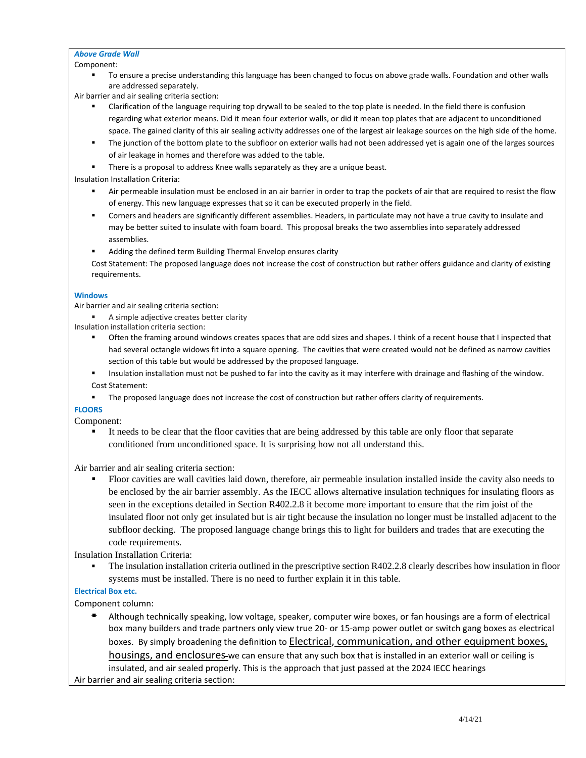#### *Above Grade Wall*

Component:

 To ensure a precise understanding this language has been changed to focus on above grade walls. Foundation and other walls are addressed separately.

Air barrier and air sealing criteria section:

- Clarification of the language requiring top drywall to be sealed to the top plate is needed. In the field there is confusion regarding what exterior means. Did it mean four exterior walls, or did it mean top plates that are adjacent to unconditioned space. The gained clarity of this air sealing activity addresses one of the largest air leakage sources on the high side of the home.
- The junction of the bottom plate to the subfloor on exterior walls had not been addressed yet is again one of the larges sources of air leakage in homes and therefore was added to the table.
- There is a proposal to address Knee walls separately as they are a unique beast.

Insulation Installation Criteria:

- Air permeable insulation must be enclosed in an air barrier in order to trap the pockets of air that are required to resist the flow of energy. This new language expresses that so it can be executed properly in the field.
- Corners and headers are significantly different assemblies. Headers, in particulate may not have a true cavity to insulate and may be better suited to insulate with foam board. This proposal breaks the two assemblies into separately addressed assemblies.
- Adding the defined term Building Thermal Envelop ensures clarity
- Cost Statement: The proposed language does not increase the cost of construction but rather offers guidance and clarity of existing requirements.

#### **Windows**

Air barrier and air sealing criteria section:

- A simple adjective creates better clarity
- Insulation installation criteria section:
	- Often the framing around windows creates spaces that are odd sizes and shapes. I think of a recent house that I inspected that had several octangle widows fit into a square opening. The cavities that were created would not be defined as narrow cavities section of this table but would be addressed by the proposed language.
	- Insulation installation must not be pushed to far into the cavity as it may interfere with drainage and flashing of the window. Cost Statement:
	- **The proposed language does not increase the cost of construction but rather offers clarity of requirements.**

## **FLOORS**

Component:

 It needs to be clear that the floor cavities that are being addressed by this table are only floor that separate conditioned from unconditioned space. It is surprising how not all understand this.

Air barrier and air sealing criteria section:

 Floor cavities are wall cavities laid down, therefore, air permeable insulation installed inside the cavity also needs to be enclosed by the air barrier assembly. As the IECC allows alternative insulation techniques for insulating floors as seen in the exceptions detailed in Section R402.2.8 it become more important to ensure that the rim joist of the insulated floor not only get insulated but is air tight because the insulation no longer must be installed adjacent to the subfloor decking. The proposed language change brings this to light for builders and trades that are executing the code requirements.

Insulation Installation Criteria:

 The insulation installation criteria outlined in the prescriptive section R402.2.8 clearly describes how insulation in floor systems must be installed. There is no need to further explain it in this table.

## **Electrical Box etc.**

Component column:

 Although technically speaking, low voltage, speaker, computer wire boxes, or fan housings are a form of electrical box many builders and trade partners only view true 20- or 15-amp power outlet or switch gang boxes as electrical boxes. By simply broadening the definition to Electrical, communication, and other equipment boxes,

housings, and enclosures-we can ensure that any such box that is installed in an exterior wall or ceiling is insulated, and air sealed properly. This is the approach that just passed at the 2024 IECC hearings Air barrier and air sealing criteria section:

4/14/21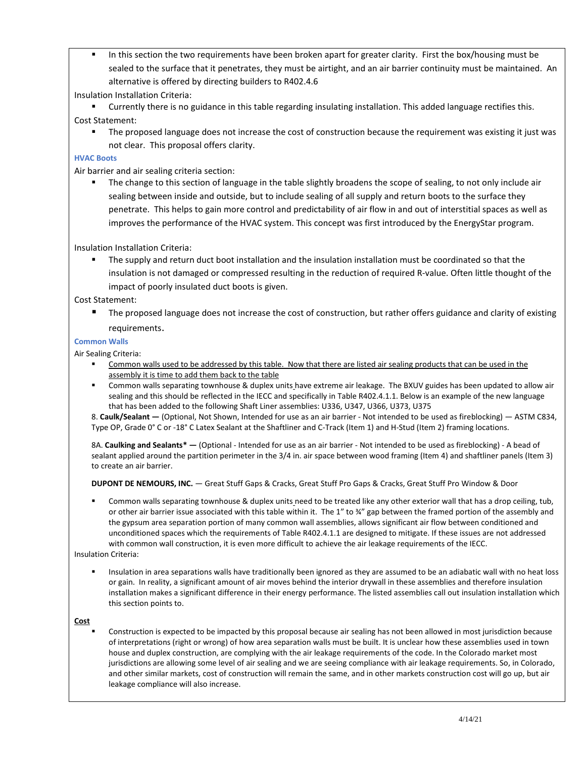In this section the two requirements have been broken apart for greater clarity. First the box/housing must be sealed to the surface that it penetrates, they must be airtight, and an air barrier continuity must be maintained. An alternative is offered by directing builders to R402.4.6

### Insulation Installation Criteria:

- Currently there is no guidance in this table regarding insulating installation. This added language rectifies this. Cost Statement:
	- The proposed language does not increase the cost of construction because the requirement was existing it just was not clear. This proposal offers clarity.

### **HVAC Boots**

Air barrier and air sealing criteria section:

 The change to this section of language in the table slightly broadens the scope of sealing, to not only include air sealing between inside and outside, but to include sealing of all supply and return boots to the surface they penetrate. This helps to gain more control and predictability of air flow in and out of interstitial spaces as well as improves the performance of the HVAC system. This concept was first introduced by the EnergyStar program.

Insulation Installation Criteria:

 The supply and return duct boot installation and the insulation installation must be coordinated so that the insulation is not damaged or compressed resulting in the reduction of required R-value. Often little thought of the impact of poorly insulated duct boots is given.

Cost Statement:

 The proposed language does not increase the cost of construction, but rather offers guidance and clarity of existing requirements.

#### **Common Walls**

Air Sealing Criteria:

- Common walls used to be addressed by this table. Now that there are listed air sealing products that can be used in the assembly it is time to add them back to the table
- Common walls separating townhouse & duplex units have extreme air leakage. The BXUV guides has been updated to allow air sealing and this should be reflected in the IECC and specifically in Table R402.4.1.1. Below is an example of the new language that has been added to the following Shaft Liner assemblies: U336, U347, U366, U373, U375

8. **Caulk/Sealant —** (Optional, Not Shown, Intended for use as an air barrier - Not intended to be used as fireblocking) — ASTM C834, Type OP, Grade 0° C or -18° C Latex Sealant at the Shaftliner and C-Track (Item 1) and H-Stud (Item 2) framing locations.

8A. **Caulking and Sealants\* —** (Optional - Intended for use as an air barrier - Not intended to be used as fireblocking) - A bead of sealant applied around the partition perimeter in the 3/4 in. air space between wood framing (Item 4) and shaftliner panels (Item 3) to create an air barrier.

**DUPONT DE NEMOURS, INC.** — Great Stuff Gaps & Cracks, Great Stuff Pro Gaps & Cracks, Great Stuff Pro Window & Door

 Common walls separating townhouse & duplex units need to be treated like any other exterior wall that has a drop ceiling, tub, or other air barrier issue associated with this table within it. The 1" to ¾" gap between the framed portion of the assembly and the gypsum area separation portion of many common wall assemblies, allows significant air flow between conditioned and unconditioned spaces which the requirements of Table R402.4.1.1 are designed to mitigate. If these issues are not addressed with common wall construction, it is even more difficult to achieve the air leakage requirements of the IECC.

#### Insulation Criteria:

 Insulation in area separations walls have traditionally been ignored as they are assumed to be an adiabatic wall with no heat loss or gain. In reality, a significant amount of air moves behind the interior drywall in these assemblies and therefore insulation installation makes a significant difference in their energy performance. The listed assemblies call out insulation installation which this section points to.

#### **Cost**

 Construction is expected to be impacted by this proposal because air sealing has not been allowed in most jurisdiction because of interpretations (right or wrong) of how area separation walls must be built. It is unclear how these assemblies used in town house and duplex construction, are complying with the air leakage requirements of the code. In the Colorado market most jurisdictions are allowing some level of air sealing and we are seeing compliance with air leakage requirements. So, in Colorado, and other similar markets, cost of construction will remain the same, and in other markets construction cost will go up, but air leakage compliance will also increase.